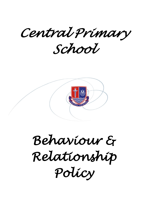*Central Primary School* 



*Behaviour & Relationship Policy*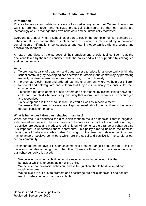# **Our motto: Children are Central**

## **Introduction**

Positive behaviour and relationships are a key part of any school. At Central Primary, we want to promote, teach and cultivate pro-social behaviours, so that our pupils are increasingly able to manage their own behaviour and be intrinsically motivated.

Everyone at Central Primary School has a part to play in the promotion of high standards of behaviour. It is important that our clear code of conduct is reinforced by a balanced combination of affirmations, consequences and learning opportunities within a secure and positive environment.

All staff, regardless of the purpose of their employment, should feel confident that the decisions taken by them are consistent with the policy and will be supported by colleagues and our community.

# **Aims**

- o To promote equality of treatment and equal access to educational opportunity within the school community by developing consideration for others in the community by promoting respect, courtesy, open-mindedness, teamwork, trust and honesty;
- o To promote a calm, safe and ordered learning environment where we help our children to control and self-regulate and to learn that they are intrinsically responsible for their own behaviour;
- $\circ$  To support the development of self-esteem and self-respect by distinguishing between a child and that child's behaviour by ensuring that appropriate behaviour is encouraged and recognised;
- $\circ$  To develop pride in the school, in work, in effort as well as in achievement;
- o To ensure that parents/ carers are kept informed about their children's behaviour through consistent means.

## **What is behaviour? How can behaviour manifest?**

When behaviour is discussed the discussion tends to focus on behaviour that is negative, externalised and severe. The vast majority of behaviour in school is the oppostite of this; it is positive, pro-social and productive. All children will demonstrate a range of behaviours so it is important to understand these behaviours. This policy aims to balance the need for clarity on all behaviours whilst also focusing on the teaching, development of and maintenance of positive behaviours which are pro-social and positive for the whole of our school community.

It is important that behaviour is seen as something broader than just good or bad. A child is never only capable of being one or the other. There are three basic principles upon which our behaviour policy is based:

- o We believe that when a child demonstrates unacceptable behaviour, it is the behaviour which is unacceptable **not** the child.
- o We believe that pro-social behaviour and self-regulation should be developed and taught over time.
- o We believe it is our duty to promote and encourage pro-social behaviour and not just react to behaviour which is unacceptable.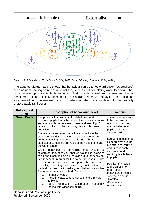

*Diagram 1: Adapted from Herts Steps Training 2019. Central Primary Behaviour Policy (2019)*

The adapted diagram above shows that behaviour can be an outward action (externalised) such as name-calling or inward (internalised) such as not completing work. Behaviour that is considered positive is both something that is externalised and internalised but is considered to be socially acceptable (pro-social). Negative behaviour can also be externalised and internalised and is behaviour that is considered to be socially unacceptable (anti-social).

| <b>Behavioural</b><br><b>Circle</b> | Description of behavioural level                                                                                                                                                                                                                                                                                                                             | <b>Actions</b>                                                                                                                                                                                                  |
|-------------------------------------|--------------------------------------------------------------------------------------------------------------------------------------------------------------------------------------------------------------------------------------------------------------------------------------------------------------------------------------------------------------|-----------------------------------------------------------------------------------------------------------------------------------------------------------------------------------------------------------------|
| <b>Green Circle</b>                 | The pro-social behaviours of well-behaved and<br>motivated pupils forms the core of this policy. Our focus<br>and attention is on the development and teaching of<br>intrinsic motivation. For simplicity we call this green<br>behaviour.<br>These are the expected behaviours of pupils in the                                                             | These behaviours are<br>to be promoted and<br>taught, so that they<br>are the behaviours<br>pupils aspire to and<br>work towards.                                                                               |
|                                     | school. Pupils demonstrating green circle behaviours<br>will be managing their behaviour in line with the<br>expectations, routines and rules of their classroom and<br>the wider school.                                                                                                                                                                    | Everyone needs to be<br>clear on what are the<br>expectations, routine                                                                                                                                          |
|                                     | Green behaviour is something that should<br>be<br>celebrated. It is behaviour that we would like everyone<br>to do and it should also be the status quo for behaviour<br>in our school. In order for this to be the case it is also                                                                                                                          | and rules in each<br>classroom and<br>explicitly teach these<br>to pupils.<br>Positive affirmation<br>and promotion of<br>green circle<br>behaviours through:<br>-Affirmation cards<br>-Marbles<br>-Celebration |
|                                     | the behaviour we need to spend the most time<br>modelling, teaching and developing. Affirmation is a<br>method that we use to make green behaviours visible.<br>There are three main methods for this;<br>Affirmation cards<br>1)<br>Praise in class/ around schools and a marble in<br>(2)<br>Marble Jar<br>Assembly/<br>3) Public Affirmation (Celebration |                                                                                                                                                                                                                 |
|                                     | Sharing with wider community)                                                                                                                                                                                                                                                                                                                                | Assemblies                                                                                                                                                                                                      |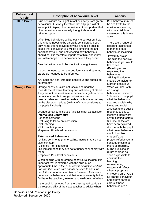| <b>Behavioural</b><br><b>Circle</b> | <b>Description of behavioural level</b>                                                                                                                                                                                                                                                                                                                                                                                                                                                                                                                                                                                                                                                                                                                                                                                                                                                                                                                                                                                                                                                                                                                                                                                                                                        | <b>Actions</b>                                                                                                                                                                                                                                                                                                                                                                                                                                                                                                                                                                                                                                                                                                                       |
|-------------------------------------|--------------------------------------------------------------------------------------------------------------------------------------------------------------------------------------------------------------------------------------------------------------------------------------------------------------------------------------------------------------------------------------------------------------------------------------------------------------------------------------------------------------------------------------------------------------------------------------------------------------------------------------------------------------------------------------------------------------------------------------------------------------------------------------------------------------------------------------------------------------------------------------------------------------------------------------------------------------------------------------------------------------------------------------------------------------------------------------------------------------------------------------------------------------------------------------------------------------------------------------------------------------------------------|--------------------------------------------------------------------------------------------------------------------------------------------------------------------------------------------------------------------------------------------------------------------------------------------------------------------------------------------------------------------------------------------------------------------------------------------------------------------------------------------------------------------------------------------------------------------------------------------------------------------------------------------------------------------------------------------------------------------------------------|
| <b>Blue Circle</b>                  | Blue behaviours are slight infractions away from green<br>behaviours. It is likely therefore that all pupils will at<br>some point display blue behaviours. It is important that<br>blue behaviours are carefully thought about and<br>reflected upon.                                                                                                                                                                                                                                                                                                                                                                                                                                                                                                                                                                                                                                                                                                                                                                                                                                                                                                                                                                                                                         | <b>Blue behaviours must</b><br>be dealt with by the<br>adult who is working<br>with the child. In a<br>classroom, this is any<br>adult.                                                                                                                                                                                                                                                                                                                                                                                                                                                                                                                                                                                              |
|                                     | Often blue behaviours will be easy to correct but how<br>this is done needs to be carefully considered. If you<br>only name the negative behaviour and tell a pupil to<br>cease that behaviour you will be promoting the anti-<br>social behaviour, and not teaching how behaviour<br>should be. It is therefore important to think about how                                                                                                                                                                                                                                                                                                                                                                                                                                                                                                                                                                                                                                                                                                                                                                                                                                                                                                                                  | There are a range of<br>different techniques<br>to manage blue<br>behaviours including:<br>-Proximity praise                                                                                                                                                                                                                                                                                                                                                                                                                                                                                                                                                                                                                         |
|                                     | you will manage blue behaviours before they occur.<br>Blue behaviour should be dealt with straight away.                                                                                                                                                                                                                                                                                                                                                                                                                                                                                                                                                                                                                                                                                                                                                                                                                                                                                                                                                                                                                                                                                                                                                                       | -Naming the positive<br>behaviours you would<br>like to see                                                                                                                                                                                                                                                                                                                                                                                                                                                                                                                                                                                                                                                                          |
|                                     | It does not need to be recorded formally and parents/<br>carers do not need to be informed.                                                                                                                                                                                                                                                                                                                                                                                                                                                                                                                                                                                                                                                                                                                                                                                                                                                                                                                                                                                                                                                                                                                                                                                    | -Retelling or re-<br>explaining the<br>behaviours<br>-Giving direction to                                                                                                                                                                                                                                                                                                                                                                                                                                                                                                                                                                                                                                                            |
|                                     | Any adult can deal with blue behaviour and should do<br>so promptly.                                                                                                                                                                                                                                                                                                                                                                                                                                                                                                                                                                                                                                                                                                                                                                                                                                                                                                                                                                                                                                                                                                                                                                                                           | change behaviour to<br>a green behaviour                                                                                                                                                                                                                                                                                                                                                                                                                                                                                                                                                                                                                                                                                             |
| <b>Orange Circle</b>                | Orange behaviours are anti-social and negative<br>towards the effective learning and well-being of others.<br>They are not the most severe behaviours (yellow circle<br>behaviours are) but orange behaviours are<br>unacceptable and need to be dealt with in a formal way<br>by the classroom adults (with age/ stage sensitivity to<br>the pupils involved).<br>Orange behaviours include (this list is not exhaustive):<br><b>Internalised Behaviours</b><br>-Ignoring someone<br>-Refusing to follow an instruction<br>-Not-listening<br>-Not completing work<br>-Repeated Blue level behaviours<br><b>Externalised Behaviours</b><br>-Unkind comments (name-calling, insults that are not<br>discriminatory)<br>-Violence (non-intentional)<br>-Telling someone they are not a friend/ cannot play with<br>them<br>-Repeated Blue level behaviours<br>When dealing with an orange behavioural incident it is<br>important that is explored with the child at an<br>appropriate time. If the behaviour is disruptive and will<br>not stop then a red card should be used to pass the<br>resolution to another member of the team. This is not<br>because the behaviour is at that level of severity but to<br>facilitate the teaching, learning and well-being of others. | When you deal with<br>an orange<br>behavioural incident:<br>1) Identify to the pupil<br>what the behaviour<br>was and explain why<br>it was anti-social.<br>2) Listen to the pupil's<br>response to this to<br>identify if there were<br>any mitigating factors.<br>3) Once all factors<br>have been explored,<br>discuss with the pupil<br>what green behaviour<br>would look like.<br>4) Identify the<br>protective/educational<br>consequences that<br>might be required.<br>5) The pupil should<br>return to class as<br>soon as possible to<br>continue their<br>learning,<br>remembering to<br>restore and reflect<br>when appropriate.<br>6) Record on CPOMS<br>as orange behaviour<br>and inform parents/<br>carers if these |
|                                     | If the pupil is removed from the class by red card, it is<br>the responsibility of the class teacher to advise when                                                                                                                                                                                                                                                                                                                                                                                                                                                                                                                                                                                                                                                                                                                                                                                                                                                                                                                                                                                                                                                                                                                                                            | behaviours are a                                                                                                                                                                                                                                                                                                                                                                                                                                                                                                                                                                                                                                                                                                                     |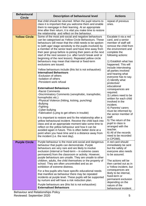| <b>Behavioural</b><br><b>Circle</b> | <b>Description of behavioural level</b>                                                                                                                                                                                                                                                                                                                                                                                                                                                                                                                                                                                                                                                                                                                                                                                                                                                                                                                                                                                                                                                                                                                                                                      | <b>Actions</b>                                                                                                                                                                                                                                                                                                                                                                                                                                                                                                                                                                                          |
|-------------------------------------|--------------------------------------------------------------------------------------------------------------------------------------------------------------------------------------------------------------------------------------------------------------------------------------------------------------------------------------------------------------------------------------------------------------------------------------------------------------------------------------------------------------------------------------------------------------------------------------------------------------------------------------------------------------------------------------------------------------------------------------------------------------------------------------------------------------------------------------------------------------------------------------------------------------------------------------------------------------------------------------------------------------------------------------------------------------------------------------------------------------------------------------------------------------------------------------------------------------|---------------------------------------------------------------------------------------------------------------------------------------------------------------------------------------------------------------------------------------------------------------------------------------------------------------------------------------------------------------------------------------------------------------------------------------------------------------------------------------------------------------------------------------------------------------------------------------------------------|
|                                     | that child should be returned. When the pupil returns to<br>class it is important that you welcome them and enable<br>them to reengage in their learning. At an appropriate<br>time after their return, it is vital you make time to restore<br>the relationship and reflect on the behaviour.                                                                                                                                                                                                                                                                                                                                                                                                                                                                                                                                                                                                                                                                                                                                                                                                                                                                                                               | repeat of previous<br>ones.                                                                                                                                                                                                                                                                                                                                                                                                                                                                                                                                                                             |
| <b>Yellow Circle</b>                | Some of the most anti-social and negative behaviours<br>can be categorised as Yellow Circle Behaviours. These<br>behaviours will mean that the child needs to be spoken<br>to (with age/ stage sensitivity to the pupils involved) by<br>a member of the senior team and have time away from<br>their peer group before re-joining their peers at the next<br>start of the next session (i.e. after lunch/ break and/ or<br>beginning of the next lesson). Repeated yellow circle<br>behaviours may mean that internal or fixed-term<br>exclusions are issued.<br>Yellow behaviours include (this list is not exhaustive):<br><b>Internalised Behaviours</b><br>-Exclusion of others<br>-Isolation of others<br>-Persistent work refusal<br><b>Externalised Behaviours</b><br>-Racist Comments<br>-Discriminatory Comments (xenophobic, transphobic,<br>homophobic etc.)<br>-Physical Violence (hitting, kicking, punching)<br>-Bullying<br>-Fighting<br>-Cyber-bullying<br>-Fabrication (Lying to get others in trouble)<br>It is important to restore and fix the relationship after a<br>yellow behavioural incident. Receive the child back into<br>class and at an appropriate moment take some time to | Escalate it via a red<br>card, and a senior<br>member of staff will<br>remove the child from<br>the environment and<br>complete the<br>following actions:<br>1) Establish what has<br>happened. This will<br>include interviewing<br>all parties involved<br>and hearing what<br>everyone has to say.<br>2) Identify what<br>protective/<br>educational<br>consequences are<br>required.<br>3) Letters need to be<br>written for each child<br>involved in the<br>incident.<br>4) Parents/ carers<br>must be informed by<br>the senior member of<br>staff.<br>5) The return of the<br>pupil to class is |
|                                     | reflect on the yellow behaviour and how it can be<br>avoided again in future. This is often better done at a<br>point when you have time and is a distance away from<br>the incident (i.e. the next day).                                                                                                                                                                                                                                                                                                                                                                                                                                                                                                                                                                                                                                                                                                                                                                                                                                                                                                                                                                                                    | arranged with the<br>teacher.<br>6) All of the records<br>need to be recorded<br>in CPOMS.                                                                                                                                                                                                                                                                                                                                                                                                                                                                                                              |
| <b>Purple Circle</b>                | Purple behaviour is the most anti-social and dangerous<br>behaviour that pupils can demonstrate. Purple<br>behaviours are very rare and are likely to involve<br>exclusion (internal or fixed-term - in extreme cases<br>permanent) from the classroom or activity. However,<br>purple behaviours are unsafe. They are unsafe to other<br>children, adults, the child themselves or the property of                                                                                                                                                                                                                                                                                                                                                                                                                                                                                                                                                                                                                                                                                                                                                                                                          | A red card should<br>immediately be sent<br>but the safety of<br>everyone also needs<br>to be assured.<br>The actions will be                                                                                                                                                                                                                                                                                                                                                                                                                                                                           |
|                                     | school. They are often uncontrolled and as an<br>exhibition of extreme distress.<br>For a few pupils who have specific educational needs<br>that manifest as behaviour there may be repeated<br>incidents at purple level. These pupils will be supported<br>by nurture and will have a risk reduction plan.<br>Purple behaviours are (this list is not exhaustive):                                                                                                                                                                                                                                                                                                                                                                                                                                                                                                                                                                                                                                                                                                                                                                                                                                         | then carried out as in<br>a Yellow incident, but<br>consequences are<br>likely to be internal,<br>fixed-term or<br>permanent exclusion<br>depending on the<br>nature of the                                                                                                                                                                                                                                                                                                                                                                                                                             |
|                                     | <b>Externalised Behaviours</b>                                                                                                                                                                                                                                                                                                                                                                                                                                                                                                                                                                                                                                                                                                                                                                                                                                                                                                                                                                                                                                                                                                                                                                               | behavioural incident.                                                                                                                                                                                                                                                                                                                                                                                                                                                                                                                                                                                   |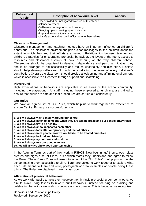| <b>Behavioural</b><br><b>Circle</b> | <b>Description of behavioural level</b>               | <b>Actions</b> |
|-------------------------------------|-------------------------------------------------------|----------------|
|                                     | -Uncontrolled or unmitigated violence or threatened   |                |
|                                     | violence to others                                    |                |
|                                     | -Deliberate damage of school property                 |                |
|                                     | -Ganging up on/ beating up an individual              |                |
|                                     | -Physical violence towards an adult                   |                |
|                                     | -Unsafe actions that could inflict harm to themselves |                |

#### **Classroom Management**

Classroom management and teaching methods have an important influence on children's behaviour. The classroom environment gives clear messages to the children about the extent to which they and their efforts are valued. Relationships between teacher and children, strategies for encouraging pro-social behaviour, the layout of the room, access to resources and classroom displays all have a bearing on the way children behave. Classrooms should be organised to develop independence and personal initiative, they should be arranged to aid accessibility and reduce uncertainty and disruption. Displays should help develop self-esteem through demonstrating the value of every individual's contribution. Overall, the classroom should provide a welcoming and affirming environment, which is accessible to all learners through support and scaffolding.

## **Playground**

High expectations of behaviour are applicable in all areas of the school community, including the playground. All staff, including those employed at lunchtime, are trained to ensure that pupils are safe and that procedures are carried out consistently.

## **Our Rules**

We have an agreed set of Our Rules, which help us to work together for excellence to ensure Central Primary is a successful school.

- **1. We will always walk sensibly around our school**
- **2. We will always listen to someone when they are talking practising our school oracy rules**
- **3. We will always try to be healthy**
- **4. We will always show respect to each other**
- **5. We will always look after our property and that of others**
- **6. We will always treat people how we would like to be treated ourselves**
- **7. We will always be kind and friendly**
- **8. We will always try our best and work hard**
- **9. We will always use our good manners**
- **10. We will always show good sportsmanship**

In the Autumn Term, as part of their work in PSHCE 'New beginnings' theme, each class creates and signs a set of Class Rules which states they understand and agree to follow the Rules. These Class Rules will take into account the 'Our Rules' to all pupils across the school making them accessible to all. Children are asked to work together to explore what each rule means to them and write, photograph or draw examples of people doing these things. The Rules are displayed in each classroom.

#### **Affirmation of pro-social behaviour**

As we work with pupils to help them develop their intrinsic pro-social green behaviours, we aim to avoid using tokens to reward pupil behaviour, instead focusing on praising and celebrating behaviour we wish to continue and encourage. This is because we recognise it

Behaviour and Relationships Policy Reviewed: September 2020 6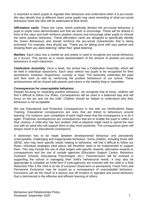is important to teach pupils to regulate their behaviour and understand when it is pro-social. We also identify that at different times some pupils may need reminding of what pro-social behaviour looks like (this will be addressed at Blue level).

**Affirmation cards**: These are cards, which publically declare the pro-social behaviour a pupil or pupils have demonstrated and that we wish to encourage. These will be shared in front of the class and both reinforce positive choices and encourage other pupils to choose the same positive behaviour. These affirmation cards are designed to specifically identify the Green Behaviours and should reinforce the pro-social characteristic that is being promoted. For example, they should say: 'Thank you for taking turns with your partner and showing them you were listening' rather than 'great listening'.

**Marbles**: Each class has a marble jar and praise is used to recognise pro-social behaviour as it occurs. This serves as a visual representation of the amount of positive pro-social behaviours in each classroom.

**Celebration Assembly**: Once a week, the school has a Celebration Assembly, which will be held in individual classrooms. Each class selects two pupils to be recognised for their persistence, kindness, forgiveness, curiosity or hope. This assembly celebrates the pupil and their work as well as reinforcing the positive behaviours of our school. These achievements will be shared with parents and carers in the weekly blog or newsletter.

## **Consequences for unacceptable behaviour**

Despite focusing on rewarding positive behaviour, we recognise that at times, children will find it difficult to follow Our Rules. Consequences will be used in a balanced way and will focus on the act and not the child. Children should be helped to understand why their behaviour is not acceptable.

We use Educational and Protective Consequences in line with our Hertfordshire Steps Training. Educational consequences are ones that are linked to behaviours around learning. For instance, poor completion of work might mean that the consequence is to do it again. Protective consequences are consequences that are to enable the pupil to reflect on their choices. A child who has hurt another child at playtime might need to spend the next one with an adult who will support them to play more positively. The consquences given will always result in an educational consequnce.

A distinction has to be made between developmental behaviour and persistently unacceptable, challenging and inappropriate behaviour. Some children, including those with SEND, who may have specific needs relating to behaviour, will find it difficult to follow our Rules. Individual strategies (and plans) will therefore need to be implemented to support them. This may include the use of clear targets with specific rewards, alternative rewards or consequences and the use of outside agencies (Education Support Centre, Behaviour Outreach Schools, Educational Psychologist, etc.). Parents/carers will be involved in supporting the school in managing their child's behavioural needs. It may also be appropriate to complete an EHM form if multi-agencies are involved with the child or a Risk Reduction Plan if the child is at risk of exclusion (fixed-term or permanent). Fixed-Term and Permanent Exclusions may be issued as a consequence of unacceptable behaviour. Exclusions can be the result of a serious one off incident or repeated anti-social behaviour that is detrimental to the effective and efficient learning of others.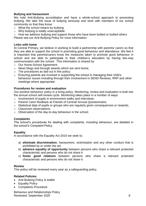# **Bullying and harassment**

We hold Anti-Bullying accreditation and have a whole-school approach to preventing bullying. We take the issue of bullying seriously and work with members of our school community so that they know:

- o What the school means by bullying
- o Why bullying is totally unacceptable
- o How we address bullying and support those who have been bullied or bullied others Please see our Anti-Bullying Policy for more information.

#### **Links with home**

At Central Primary, we believe in working to build a partnership with parents/ carers so that they are able to support the school in promoting good behaviour and attendance. We feel it is important that parents/carers know the measures taken to promote good behaviour in school and are able to participate in their children's education by having two-way communication with the school. This information is shared by:

- o Our Home-School Agreement;
- o News blogs and through awards which are sent home;
- $\circ$  The procedures as laid out in this policy;
- o Ensuring parents are involved in supporting the school in managing their child's behaviour issues including through their involvement in SEND Reviews, RRP and other meetings where appropriate.

#### **Procedures for review and evaluation**

Our positive behaviour policy is a living policy. Monitoring, review and evaluation is built into the annual school self-review cycle. Monitoring takes place in a number of ways:

- o Involvement of pupils in environment walks and interviews;
- o Parent/ Carer feedback at Friends of Central/ Annual Questionnaire;
- o Statistical data of pupils or groups who are regularly given consequences or rewards;
- o Classroom observations;
- o Observation of the day-to-day behaviour in the school.

## **Complaints**

The school's procedures for dealing with complaints, including behaviour, are detailed in the school's Complaint Policy.

## **Equality**

In accordance with the Equality Act 2010 we seek to;

- a) **eliminate discrimination**, harassment, victimisation and any other conduct that is prohibited by or under the act
- b) **advance equality of opportunity** between persons who share a relevant protected characteristic and persons who do not share it
- c) **foster good relations** between persons who share a relevant protected characteristic and persons who do not share it

#### **Review**

This policy will be reviewed every year as a safeguarding policy.

#### **Related Policies**

- Anti-Bullying Policy & leaflet
- Equality Policy
- Complaints Procedure

Behaviour and Relationships Policy Reviewed: September 2020 8